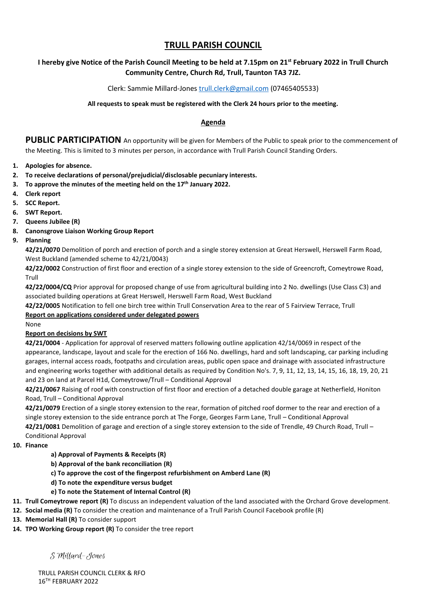# **TRULL PARISH COUNCIL**

# **I hereby give Notice of the Parish Council Meeting to be held at 7.15pm on 21st February 2022 in Trull Church Community Centre, Church Rd, Trull, Taunton TA3 7JZ.**

Clerk: Sammie Millard-Jones [trull.clerk@gmail.com](mailto:trull.clerk@gmail.com) (07465405533)

## **All requests to speak must be registered with the Clerk 24 hours prior to the meeting.**

## **Agenda**

**PUBLIC PARTICIPATION** An opportunity will be given for Members of the Public to speak prior to the commencement of the Meeting. This is limited to 3 minutes per person, in accordance with Trull Parish Council Standing Orders.

- **1. Apologies for absence.**
- **2. To receive declarations of personal/prejudicial/disclosable pecuniary interests.**
- **3. To approve the minutes of the meeting held on the 17th January 2022.**
- **4. Clerk report**
- **5. SCC Report.**
- **6. SWT Report.**
- **7. Queens Jubilee (R)**
- **8. Canonsgrove Liaison Working Group Report**
- **9. Planning**

**42/21/0070** Demolition of porch and erection of porch and a single storey extension at Great Herswell, Herswell Farm Road, West Buckland (amended scheme to 42/21/0043)

**42/22/0002** Construction of first floor and erection of a single storey extension to the side of Greencroft, Comeytrowe Road, Trull

**42/22/0004/CQ** Prior approval for proposed change of use from agricultural building into 2 No. dwellings (Use Class C3) and associated building operations at Great Herswell, Herswell Farm Road, West Buckland

**42/22/0005** Notification to fell one birch tree within Trull Conservation Area to the rear of 5 Fairview Terrace, Trull

# **Report on applications considered under delegated powers**

None

### **Report on decisions by SWT**

**42/21/0004** - Application for approval of reserved matters following outline application 42/14/0069 in respect of the appearance, landscape, layout and scale for the erection of 166 No. dwellings, hard and soft landscaping, car parking including garages, internal access roads, footpaths and circulation areas, public open space and drainage with associated infrastructure and engineering works together with additional details as required by Condition No's. 7, 9, 11, 12, 13, 14, 15, 16, 18, 19, 20, 21 and 23 on land at Parcel H1d, Comeytrowe/Trull – Conditional Approval

**42/21/0067** Raising of roof with construction of first floor and erection of a detached double garage at Netherfield, Honiton Road, Trull – Conditional Approval

**42/21/0079** Erection of a single storey extension to the rear, formation of pitched roof dormer to the rear and erection of a single storey extension to the side entrance porch at The Forge, Georges Farm Lane, Trull – Conditional Approval

**42/21/0081** Demolition of garage and erection of a single storey extension to the side of Trendle, 49 Church Road, Trull – Conditional Approval

#### **10. Finance**

- **a) Approval of Payments & Receipts (R)**
- **b) Approval of the bank reconciliation (R)**
- **c) To approve the cost of the fingerpost refurbishment on Amberd Lane (R)**
- **d) To note the expenditure versus budget**
- **e) To note the Statement of Internal Control (R)**
- **11. Trull Comeytrowe report (R)** To discuss an independent valuation of the land associated with the Orchard Grove development.
- **12. Social media (R)** To consider the creation and maintenance of a Trull Parish Council Facebook profile (R)
- **13. Memorial Hall (R)** To consider support
- **14. TPO Working Group report (R)** To consider the tree report

S Millard-Jones

TRULL PARISH COUNCIL CLERK & RFO 16TH FEBRUARY 2022